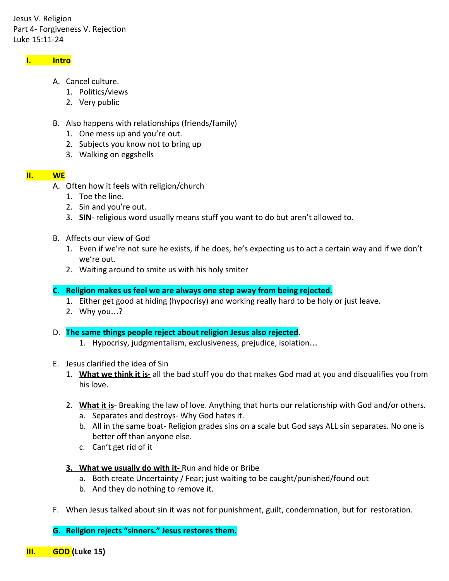Jesus V. Religion Part 4- Forgiveness V. Rejection Luke 15:11-24

### I. Intro

- A. Cancel culture.
	- 1. Politics/views
	- 2. Very public
- B. Also happens with relationships (friends/family)
	- 1. One mess up and you're out.
	- 2. Subjects you know not to bring up
	- 3. Walking on eggshells

### II. WE

- A. Often how it feels with religion/church
	- 1. Toe the line.
	- 2. Sin and you're out.
	- 3. SIN- religious word usually means stuff you want to do but aren't allowed to.
- B. Affects our view of God
	- 1. Even if we're not sure he exists, if he does, he's expecting us to act a certain way and if we don't we're out.
	- 2. Waiting around to smite us with his holy smiter

### C. Religion makes us feel we are always one step away from being rejected.

- 1. Either get good at hiding (hypocrisy) and working really hard to be holy or just leave.
- 2. Why you…?

### D. The same things people reject about religion Jesus also rejected.

- 1. Hypocrisy, judgmentalism, exclusiveness, prejudice, isolation…
- E. Jesus clarified the idea of Sin
	- 1. What we think it is- all the bad stuff you do that makes God mad at you and disqualifies you from his love.
	- 2. What it is-Breaking the law of love. Anything that hurts our relationship with God and/or others.
		- a. Separates and destroys- Why God hates it.
		- b. All in the same boat- Religion grades sins on a scale but God says ALL sin separates. No one is better off than anyone else.
		- c. Can't get rid of it
	- 3. What we usually do with it-Run and hide or Bribe
		- a. Both create Uncertainty / Fear; just waiting to be caught/punished/found out
		- b. And they do nothing to remove it.
- F. When Jesus talked about sin it was not for punishment, guilt, condemnation, but for restoration.

G. Religion rejects "sinners." Jesus restores them.

III. GOD (Luke 15)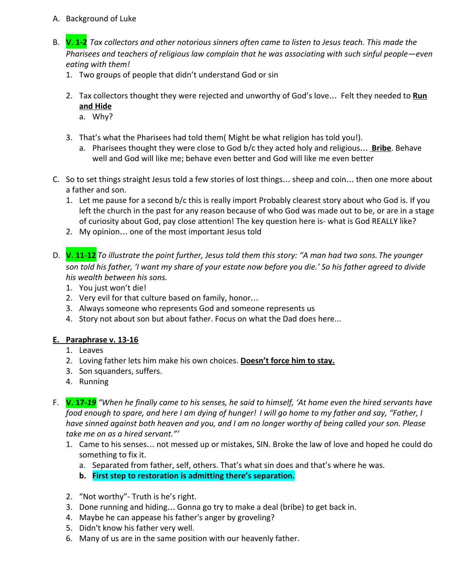- A. Background of Luke
- B. V. 1-2 Tax collectors and other notorious sinners often came to listen to Jesus teach. This made the Pharisees and teachers of religious law complain that he was associating with such sinful people—even eating with them!
	- 1. Two groups of people that didn't understand God or sin
	- 2. Tax collectors thought they were rejected and unworthy of God's love... Felt they needed to Run and Hide
		- a. Why?
	- 3. That's what the Pharisees had told them( Might be what religion has told you!).
		- a. Pharisees thought they were close to God b/c they acted holy and religious... **Bribe**. Behave well and God will like me; behave even better and God will like me even better
- C. So to set things straight Jesus told a few stories of lost things… sheep and coin… then one more about a father and son.
	- 1. Let me pause for a second b/c this is really import Probably clearest story about who God is. If you left the church in the past for any reason because of who God was made out to be, or are in a stage of curiosity about God, pay close attention! The key question here is- what is God REALLY like?
	- 2. My opinion… one of the most important Jesus told
- D.  $V. 11-12$  To illustrate the point further, Jesus told them this story: "A man had two sons. The younger son told his father, 'I want my share of your estate now before you die.' So his father agreed to divide his wealth between his sons.
	- 1. You just won't die!
	- 2. Very evil for that culture based on family, honor…
	- 3. Always someone who represents God and someone represents us
	- 4. Story not about son but about father. Focus on what the Dad does here...

# E. Paraphrase v. 13-16

- 1. Leaves
- 2. Loving father lets him make his own choices. Doesn't force him to stay.
- 3. Son squanders, suffers.
- 4. Running
- F. **V. 17-19** "When he finally came to his senses, he said to himself, 'At home even the hired servants have food enough to spare, and here I am dying of hunger! I will go home to my father and say, "Father, I have sinned against both heaven and you, and I am no longer worthy of being called your son. Please take me on as a hired servant."'
	- 1. Came to his senses… not messed up or mistakes, SIN. Broke the law of love and hoped he could do something to fix it.
		- a. Separated from father, self, others. That's what sin does and that's where he was.
		- b. First step to restoration is admitting there's separation.
	- 2. "Not worthy"- Truth is he's right.
	- 3. Done running and hiding… Gonna go try to make a deal (bribe) to get back in.
	- 4. Maybe he can appease his father's anger by groveling?
	- 5. Didn't know his father very well.
	- 6. Many of us are in the same position with our heavenly father.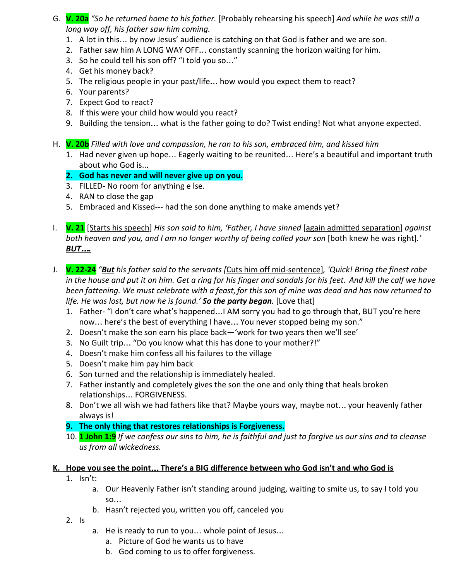- G. V. 20a "So he returned home to his father. [Probably rehearsing his speech] And while he was still a long way off, his father saw him coming.
	- 1. A lot in this… by now Jesus' audience is catching on that God is father and we are son.
	- 2. Father saw him A LONG WAY OFF… constantly scanning the horizon waiting for him.
	- 3. So he could tell his son off? "I told you so…"
	- 4. Get his money back?
	- 5. The religious people in your past/life… how would you expect them to react?
	- 6. Your parents?
	- 7. Expect God to react?
	- 8. If this were your child how would you react?
	- 9. Building the tension… what is the father going to do? Twist ending! Not what anyone expected.
- H. **V. 20b** Filled with love and compassion, he ran to his son, embraced him, and kissed him
	- 1. Had never given up hope… Eagerly waiting to be reunited… Here's a beautiful and important truth about who God is...
	- 2. God has never and will never give up on you.
	- 3. FILLED- No room for anything e lse.
	- 4. RAN to close the gap
	- 5. Embraced and Kissed--- had the son done anything to make amends yet?
- I. **V. 21** [Starts his speech] His son said to him, 'Father, I have sinned [again admitted separation] against both heaven and you, and I am no longer worthy of being called your son [both knew he was right].' BUT….
- J. **V. 22-24** "But his father said to the servants [Cuts him off mid-sentence], 'Quick! Bring the finest robe in the house and put it on him. Get a ring for his finger and sandals for his feet. And kill the calf we have been fattening. We must celebrate with a feast, for this son of mine was dead and has now returned to life. He was lost, but now he is found.' So the party began. [Love that]
	- 1. Father- "I don't care what's happened…I AM sorry you had to go through that, BUT you're here now… here's the best of everything I have… You never stopped being my son."
	- 2. Doesn't make the son earn his place back—'work for two years then we'll see'
	- 3. No Guilt trip… "Do you know what this has done to your mother?!"
	- 4. Doesn't make him confess all his failures to the village
	- 5. Doesn't make him pay him back
	- 6. Son turned and the relationship is immediately healed.
	- 7. Father instantly and completely gives the son the one and only thing that heals broken relationships… FORGIVENESS.
	- 8. Don't we all wish we had fathers like that? Maybe yours way, maybe not… your heavenly father always is!
	- 9. The only thing that restores relationships is Forgiveness.
	- 10. 1 John 1:9 If we confess our sins to him, he is faithful and just to forgive us our sins and to cleanse us from all wickedness.

# K. Hope you see the point... There's a BIG difference between who God isn't and who God is

- 1. Isn't:
	- a. Our Heavenly Father isn't standing around judging, waiting to smite us, to say I told you so…
	- b. Hasn't rejected you, written you off, canceled you
- 2. Is
- a. He is ready to run to you… whole point of Jesus…
	- a. Picture of God he wants us to have
	- b. God coming to us to offer forgiveness.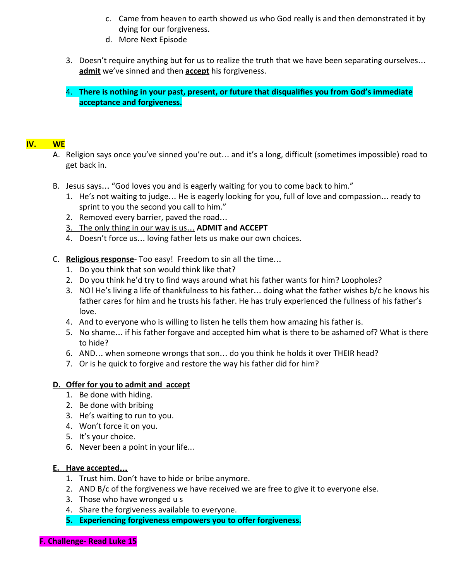- c. Came from heaven to earth showed us who God really is and then demonstrated it by dying for our forgiveness.
- d. More Next Episode
- 3. Doesn't require anything but for us to realize the truth that we have been separating ourselves… admit we've sinned and then **accept** his forgiveness.
- 4. There is nothing in your past, present, or future that disqualifies you from God's immediate acceptance and forgiveness.

### IV. WE

- A. Religion says once you've sinned you're out… and it's a long, difficult (sometimes impossible) road to get back in.
- B. Jesus says… "God loves you and is eagerly waiting for you to come back to him."
	- 1. He's not waiting to judge… He is eagerly looking for you, full of love and compassion… ready to sprint to you the second you call to him."
	- 2. Removed every barrier, paved the road…
	- 3. The only thing in our way is us… ADMIT and ACCEPT
	- 4. Doesn't force us… loving father lets us make our own choices.
- C. Religious response- Too easy! Freedom to sin all the time...
	- 1. Do you think that son would think like that?
	- 2. Do you think he'd try to find ways around what his father wants for him? Loopholes?
	- 3. NO! He's living a life of thankfulness to his father… doing what the father wishes b/c he knows his father cares for him and he trusts his father. He has truly experienced the fullness of his father's love.
	- 4. And to everyone who is willing to listen he tells them how amazing his father is.
	- 5. No shame… if his father forgave and accepted him what is there to be ashamed of? What is there to hide?
	- 6. AND… when someone wrongs that son… do you think he holds it over THEIR head?
	- 7. Or is he quick to forgive and restore the way his father did for him?

# D. Offer for you to admit and accept

- 1. Be done with hiding.
- 2. Be done with bribing
- 3. He's waiting to run to you.
- 4. Won't force it on you.
- 5. It's your choice.
- 6. Never been a point in your life...

# E. Have accepted…

- 1. Trust him. Don't have to hide or bribe anymore.
- 2. AND B/c of the forgiveness we have received we are free to give it to everyone else.
- 3. Those who have wronged u s
- 4. Share the forgiveness available to everyone.
- 5. Experiencing forgiveness empowers you to offer forgiveness.
- F. Challenge- Read Luke 15